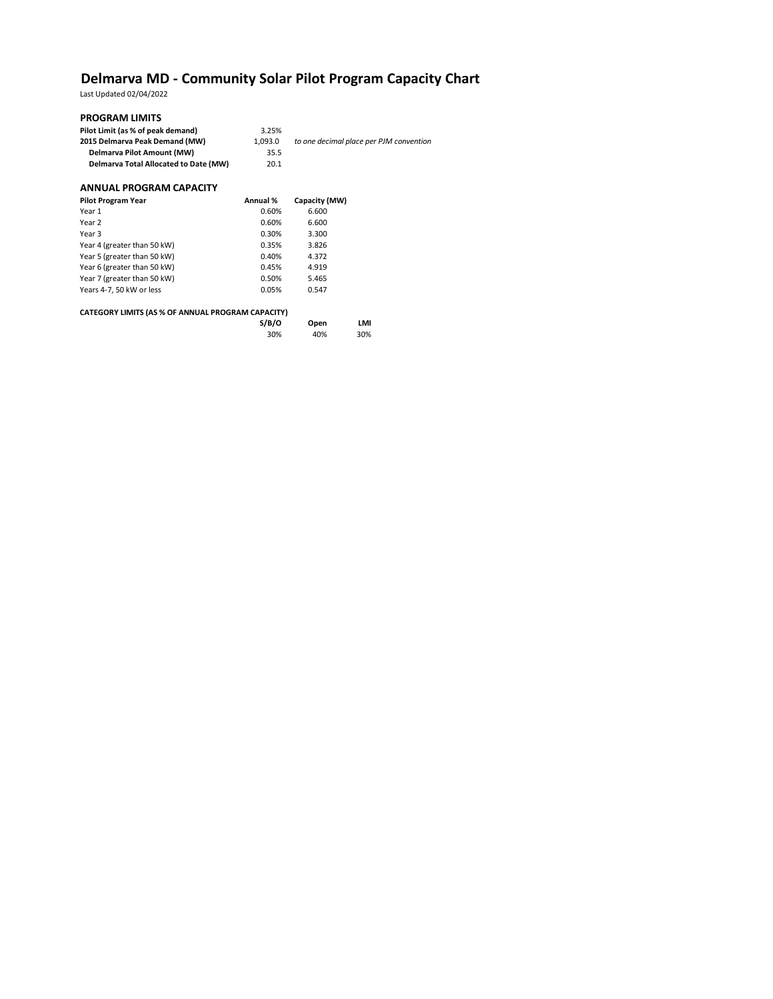# **Delmarva MD - Community Solar Pilot Program Capacity Chart**

Last Updated 02/04/2022

## **PROGRAM LIMITS**

| Pilot Limit (as % of peak demand)     | 3.25%   |                                         |
|---------------------------------------|---------|-----------------------------------------|
| 2015 Delmarya Peak Demand (MW)        | 1.093.0 | to one decimal place per PJM convention |
| Delmarya Pilot Amount (MW)            | 35.5    |                                         |
| Delmarya Total Allocated to Date (MW) | 20.1    |                                         |

### **ANNUAL PROGRAM CAPACITY**

| <b>Pilot Program Year</b>   | Annual % | Capacity (MW) |
|-----------------------------|----------|---------------|
| Year 1                      | 0.60%    | 6.600         |
| Year 2                      | 0.60%    | 6.600         |
| Year 3                      | 0.30%    | 3.300         |
| Year 4 (greater than 50 kW) | 0.35%    | 3.826         |
| Year 5 (greater than 50 kW) | 0.40%    | 4.372         |
| Year 6 (greater than 50 kW) | 0.45%    | 4.919         |
| Year 7 (greater than 50 kW) | 0.50%    | 5.465         |
| Years 4-7, 50 kW or less    | 0.05%    | 0.547         |
|                             |          |               |

### **CATEGORY LIMITS (AS % OF ANNUAL PROGRAM CAPACITY)**

| S/B/O | Open | LMI |
|-------|------|-----|
| 30%   | 40%  | 30% |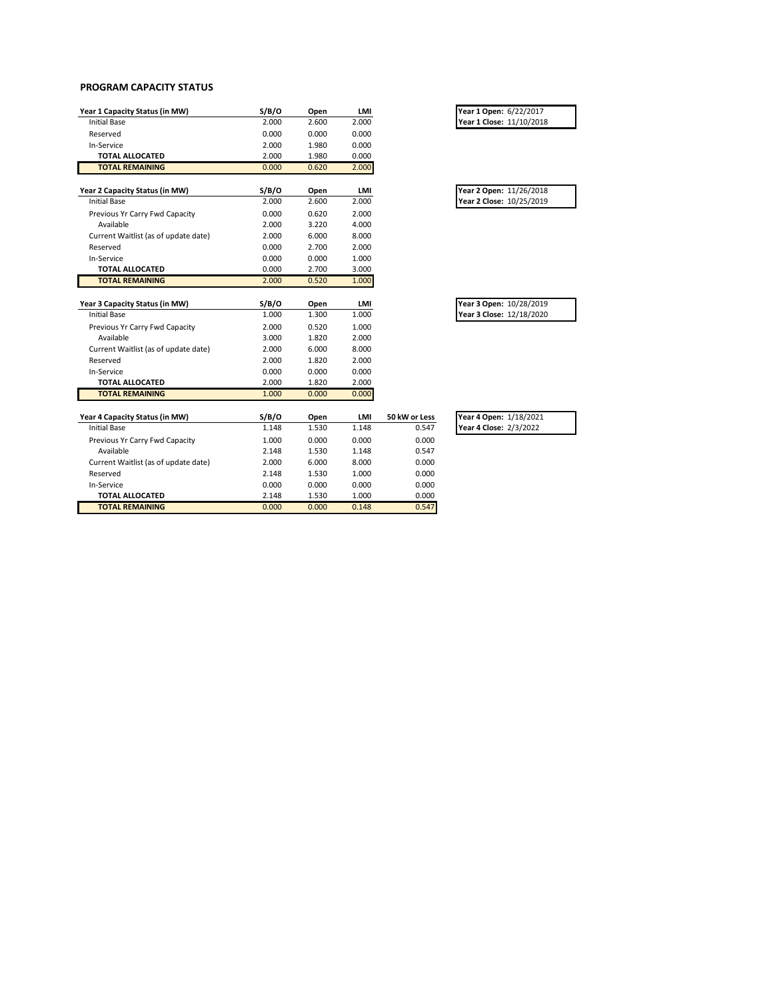#### **PROGRAM CAPACITY STATUS**

| Year 1 Capacity Status (in MW)       | S/B/O | Open  | LMI   |               | Year 1 Open: 6/22/2017   |
|--------------------------------------|-------|-------|-------|---------------|--------------------------|
| <b>Initial Base</b>                  | 2.000 | 2.600 | 2.000 |               | Year 1 Close: 11/10/2018 |
| Reserved                             | 0.000 | 0.000 | 0.000 |               |                          |
| In-Service                           | 2.000 | 1.980 | 0.000 |               |                          |
| <b>TOTAL ALLOCATED</b>               | 2.000 | 1.980 | 0.000 |               |                          |
| <b>TOTAL REMAINING</b>               | 0.000 | 0.620 | 2.000 |               |                          |
| Year 2 Capacity Status (in MW)       | S/B/O | Open  | LMI   |               | Year 2 Open: 11/26/2018  |
| <b>Initial Base</b>                  | 2.000 | 2.600 | 2.000 |               | Year 2 Close: 10/25/2019 |
| Previous Yr Carry Fwd Capacity       | 0.000 | 0.620 | 2.000 |               |                          |
| Available                            | 2.000 | 3.220 | 4.000 |               |                          |
| Current Waitlist (as of update date) | 2.000 | 6.000 | 8.000 |               |                          |
| Reserved                             | 0.000 | 2.700 | 2.000 |               |                          |
| In-Service                           | 0.000 | 0.000 | 1.000 |               |                          |
| <b>TOTAL ALLOCATED</b>               | 0.000 | 2.700 | 3.000 |               |                          |
| <b>TOTAL REMAINING</b>               | 2.000 | 0.520 | 1.000 |               |                          |
|                                      |       |       |       |               |                          |
| Year 3 Capacity Status (in MW)       | S/B/O | Open  | LMI   |               | Year 3 Open: 10/28/2019  |
| <b>Initial Base</b>                  | 1.000 | 1.300 | 1.000 |               | Year 3 Close: 12/18/2020 |
| Previous Yr Carry Fwd Capacity       | 2.000 | 0.520 | 1.000 |               |                          |
| Available                            | 3.000 | 1.820 | 2.000 |               |                          |
| Current Waitlist (as of update date) | 2.000 | 6.000 | 8.000 |               |                          |
| Reserved                             | 2.000 | 1.820 | 2.000 |               |                          |
| In-Service                           | 0.000 | 0.000 | 0.000 |               |                          |
| <b>TOTAL ALLOCATED</b>               | 2.000 | 1.820 | 2.000 |               |                          |
| <b>TOTAL REMAINING</b>               | 1.000 | 0.000 | 0.000 |               |                          |
| Year 4 Capacity Status (in MW)       | S/B/O | Open  | LMI   | 50 kW or Less | Year 4 Open: 1/18/2021   |
| <b>Initial Base</b>                  | 1.148 | 1.530 | 1.148 | 0.547         | Year 4 Close: 2/3/2022   |
| Previous Yr Carry Fwd Capacity       | 1.000 | 0.000 | 0.000 | 0.000         |                          |
| Available                            | 2.148 | 1.530 | 1.148 | 0.547         |                          |
| Current Waitlist (as of update date) | 2.000 | 6.000 | 8.000 | 0.000         |                          |
| Reserved                             | 2.148 | 1.530 | 1.000 | 0.000         |                          |
| In-Service                           | 0.000 | 0.000 | 0.000 | 0.000         |                          |
| TOTAL ALLOCATED                      | 2.148 | 1.530 | 1.000 | 0.000         |                          |
|                                      |       |       |       |               |                          |

**TOTAL REMAINING** 0.000 0.000 0.148 0.547

| Year 1 Open: 6/22/2017   |  |
|--------------------------|--|
| Year 1 Close: 11/10/2018 |  |

| Year 2 Open: 11/26/2018  |  |
|--------------------------|--|
| Year 2 Close: 10/25/2019 |  |

| Year 3 Open: 10/28/2019  |  |
|--------------------------|--|
| Year 3 Close: 12/18/2020 |  |

| Year 4 Open: 1/18/2021 |  |
|------------------------|--|
| Year 4 Close: 2/3/2022 |  |
|                        |  |